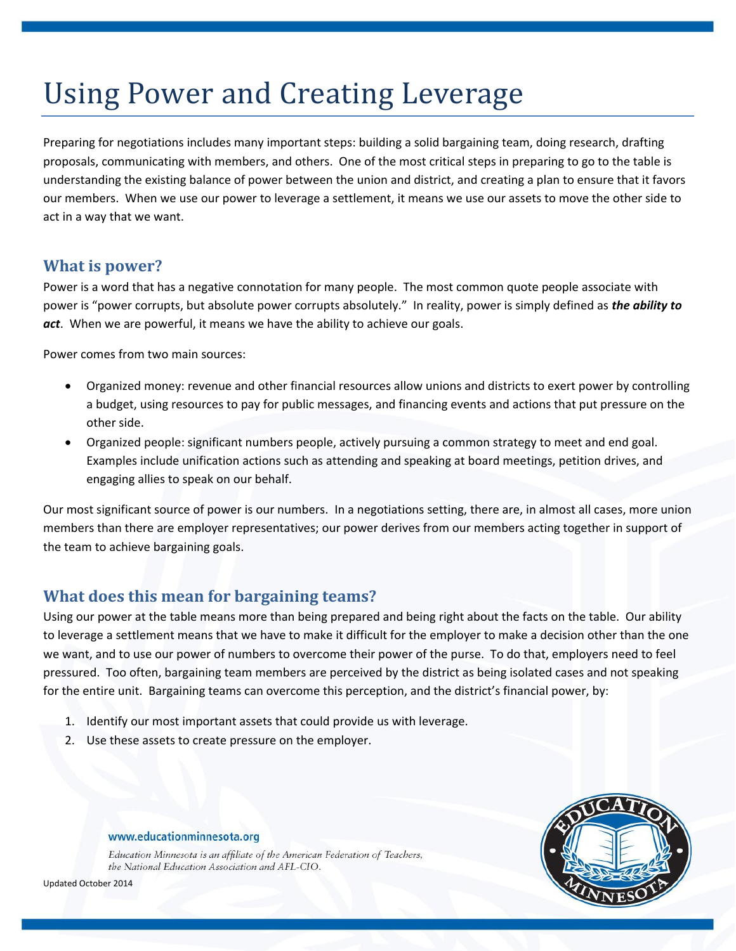# Using Power and Creating Leverage

Preparing for negotiations includes many important steps: building a solid bargaining team, doing research, drafting proposals, communicating with members, and others. One of the most critical steps in preparing to go to the table is understanding the existing balance of power between the union and district, and creating a plan to ensure that it favors our members. When we use our power to leverage a settlement, it means we use our assets to move the other side to act in a way that we want.

# **What is power?**

Power is a word that has a negative connotation for many people. The most common quote people associate with power is "power corrupts, but absolute power corrupts absolutely." In reality, power is simply defined as *the ability to act*. When we are powerful, it means we have the ability to achieve our goals.

Power comes from two main sources:

- Organized money: revenue and other financial resources allow unions and districts to exert power by controlling a budget, using resources to pay for public messages, and financing events and actions that put pressure on the other side.
- Organized people: significant numbers people, actively pursuing a common strategy to meet and end goal. Examples include unification actions such as attending and speaking at board meetings, petition drives, and engaging allies to speak on our behalf.

Our most significant source of power is our numbers. In a negotiations setting, there are, in almost all cases, more union members than there are employer representatives; our power derives from our members acting together in support of the team to achieve bargaining goals.

# **What does this mean for bargaining teams?**

Using our power at the table means more than being prepared and being right about the facts on the table. Our ability to leverage a settlement means that we have to make it difficult for the employer to make a decision other than the one we want, and to use our power of numbers to overcome their power of the purse. To do that, employers need to feel pressured. Too often, bargaining team members are perceived by the district as being isolated cases and not speaking for the entire unit. Bargaining teams can overcome this perception, and the district's financial power, by:

- 1. Identify our most important assets that could provide us with leverage.
- 2. Use these assets to create pressure on the employer.



#### www.educationminnesota.org

Education Minnesota is an affiliate of the American Federation of Teachers, the National Education Association and AFL-CIO.

Updated October 2014